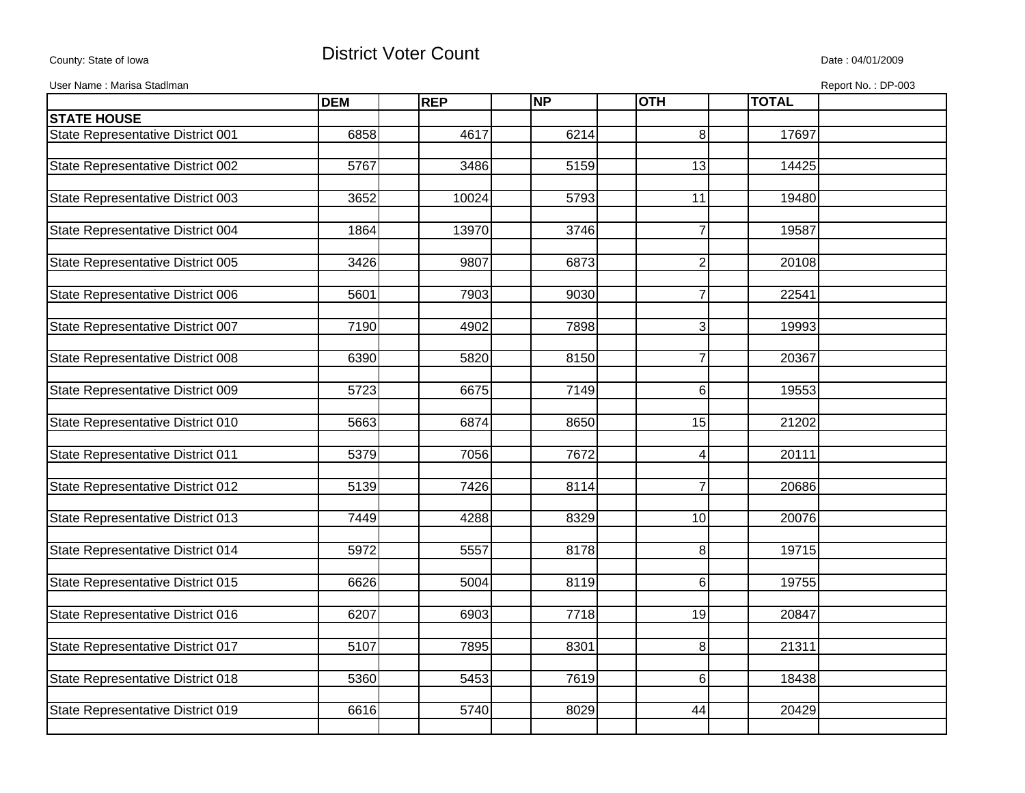## County: State of Iowa **District Voter Count** Description of the Count Date : 04/01/2009

User Name : Marisa Stadlman Report No. : DP-003

|                                   | <b>DEM</b> | <b>REP</b> | $\overline{NP}$ | <b>OTH</b>      | <b>TOTAL</b> |  |
|-----------------------------------|------------|------------|-----------------|-----------------|--------------|--|
| <b>STATE HOUSE</b>                |            |            |                 |                 |              |  |
| State Representative District 001 | 6858       | 4617       | 6214            | 8               | 17697        |  |
|                                   |            |            |                 |                 |              |  |
| State Representative District 002 | 5767       | 3486       | 5159            | $\overline{13}$ | 14425        |  |
|                                   |            |            |                 |                 |              |  |
| State Representative District 003 | 3652       | 10024      | 5793            | $\overline{11}$ | 19480        |  |
| State Representative District 004 | 1864       | 13970      | 3746            | $\overline{7}$  | 19587        |  |
|                                   |            |            |                 |                 |              |  |
| State Representative District 005 | 3426       | 9807       | 6873            | $\overline{c}$  | 20108        |  |
|                                   | 5601       | 7903       | 9030            | $\overline{7}$  | 22541        |  |
| State Representative District 006 |            |            |                 |                 |              |  |
| State Representative District 007 | 7190       | 4902       | 7898            | 3               | 19993        |  |
|                                   |            |            |                 |                 |              |  |
| State Representative District 008 | 6390       | 5820       | 8150            | $\overline{7}$  | 20367        |  |
|                                   |            |            |                 |                 |              |  |
| State Representative District 009 | 5723       | 6675       | 7149            | 6               | 19553        |  |
|                                   |            |            |                 |                 |              |  |
| State Representative District 010 | 5663       | 6874       | 8650            | 15              | 21202        |  |
| State Representative District 011 | 5379       | 7056       | 7672            | 4               | 20111        |  |
|                                   |            |            |                 |                 |              |  |
| State Representative District 012 | 5139       | 7426       | 8114            | $\overline{7}$  | 20686        |  |
|                                   |            |            |                 |                 |              |  |
| State Representative District 013 | 7449       | 4288       | 8329            | 10              | 20076        |  |
|                                   |            |            |                 |                 |              |  |
| State Representative District 014 | 5972       | 5557       | 8178            | 8               | 19715        |  |
|                                   | 6626       | 5004       |                 | $6\phantom{1}6$ | 19755        |  |
| State Representative District 015 |            |            | 8119            |                 |              |  |
| State Representative District 016 | 6207       | 6903       | 7718            | 19              | 20847        |  |
|                                   |            |            |                 |                 |              |  |
| State Representative District 017 | 5107       | 7895       | 8301            | 8               | 21311        |  |
|                                   |            |            |                 |                 |              |  |
| State Representative District 018 | 5360       | 5453       | 7619            | 6               | 18438        |  |
|                                   |            |            |                 |                 |              |  |
| State Representative District 019 | 6616       | 5740       | 8029            | 44              | 20429        |  |
|                                   |            |            |                 |                 |              |  |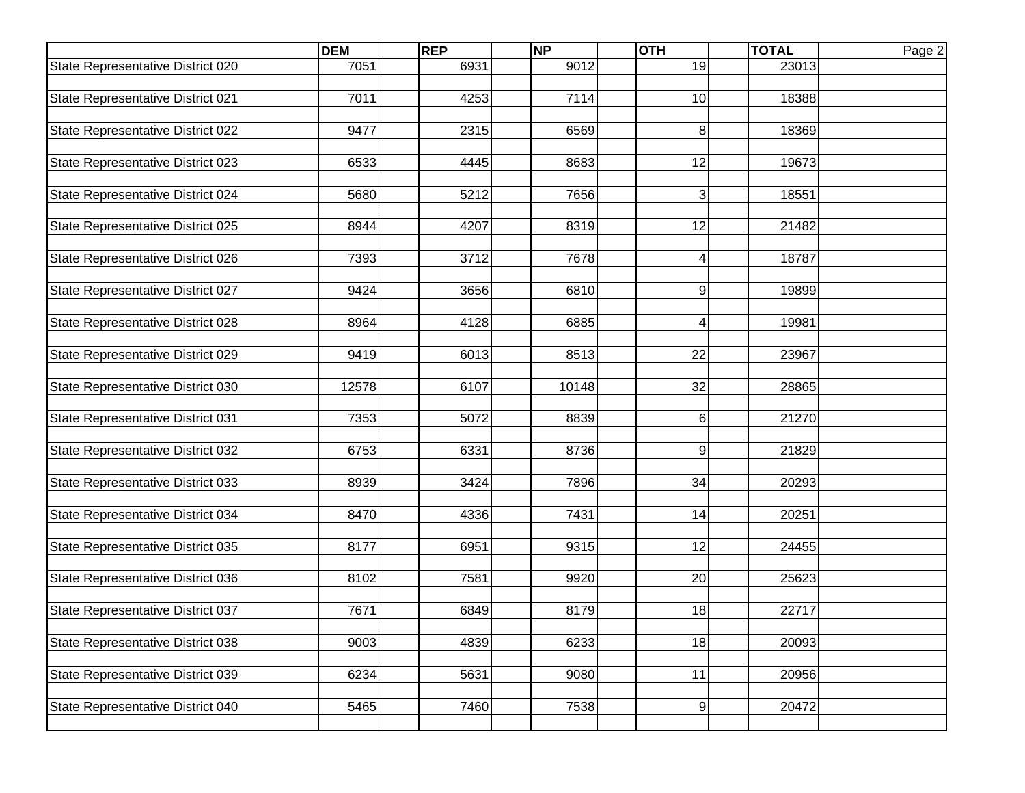|                                   | <b>DEM</b> | <b>REP</b> | <b>NP</b> | <b>OTH</b>       | <b>TOTAL</b> | Page 2 |
|-----------------------------------|------------|------------|-----------|------------------|--------------|--------|
| State Representative District 020 | 7051       | 6931       | 9012      | 19               | 23013        |        |
|                                   |            |            |           |                  |              |        |
| State Representative District 021 | 7011       | 4253       | 7114      | 10               | 18388        |        |
| State Representative District 022 | 9477       | 2315       | 6569      | 8                | 18369        |        |
|                                   |            |            |           |                  |              |        |
| State Representative District 023 | 6533       | 4445       | 8683      | 12               | 19673        |        |
|                                   |            |            |           |                  |              |        |
| State Representative District 024 | 5680       | 5212       | 7656      | $\mathbf{3}$     | 18551        |        |
| State Representative District 025 | 8944       | 4207       | 8319      | 12               | 21482        |        |
|                                   |            |            |           |                  |              |        |
| State Representative District 026 | 7393       | 3712       | 7678      | $\overline{4}$   | 18787        |        |
|                                   |            |            |           |                  |              |        |
| State Representative District 027 | 9424       | 3656       | 6810      | 9                | 19899        |        |
|                                   |            |            |           |                  |              |        |
| State Representative District 028 | 8964       | 4128       | 6885      | 4                | 19981        |        |
| State Representative District 029 | 9419       | 6013       | 8513      | 22               | 23967        |        |
|                                   |            |            |           |                  |              |        |
| State Representative District 030 | 12578      | 6107       | 10148     | 32               | 28865        |        |
|                                   |            |            |           |                  |              |        |
| State Representative District 031 | 7353       | 5072       | 8839      | 6                | 21270        |        |
|                                   |            |            |           |                  |              |        |
| State Representative District 032 | 6753       | 6331       | 8736      | 9                | 21829        |        |
| State Representative District 033 | 8939       | 3424       | 7896      | 34               | 20293        |        |
|                                   |            |            |           |                  |              |        |
| State Representative District 034 | 8470       | 4336       | 7431      | 14               | 20251        |        |
|                                   |            |            |           |                  |              |        |
| State Representative District 035 | 8177       | 6951       | 9315      | $\overline{12}$  | 24455        |        |
| State Representative District 036 | 8102       | 7581       | 9920      | 20               | 25623        |        |
|                                   |            |            |           |                  |              |        |
| State Representative District 037 | 7671       | 6849       | 8179      | 18               | 22717        |        |
|                                   |            |            |           |                  |              |        |
| State Representative District 038 | 9003       | 4839       | 6233      | 18               | 20093        |        |
|                                   |            |            |           |                  |              |        |
| State Representative District 039 | 6234       | 5631       | 9080      | 11               | 20956        |        |
| State Representative District 040 | 5465       | 7460       | 7538      | $\boldsymbol{9}$ | 20472        |        |
|                                   |            |            |           |                  |              |        |
|                                   |            |            |           |                  |              |        |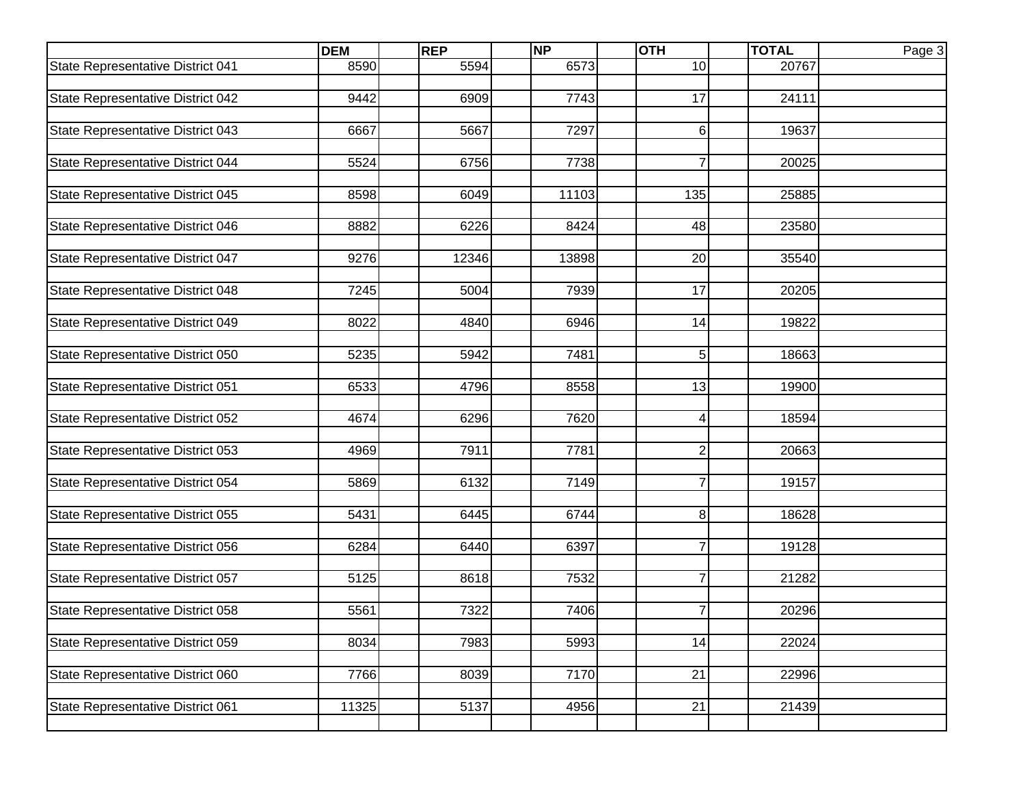|                                   | <b>DEM</b> | <b>REP</b> | <b>NP</b> | <b>OTH</b>     | <b>TOTAL</b> | Page 3 |
|-----------------------------------|------------|------------|-----------|----------------|--------------|--------|
| State Representative District 041 | 8590       | 5594       | 6573      | 10             | 20767        |        |
|                                   |            |            |           |                |              |        |
| State Representative District 042 | 9442       | 6909       | 7743      | 17             | 24111        |        |
| State Representative District 043 | 6667       | 5667       | 7297      | 6              | 19637        |        |
|                                   |            |            |           |                |              |        |
| State Representative District 044 | 5524       | 6756       | 7738      | $\overline{7}$ | 20025        |        |
|                                   |            |            |           |                |              |        |
| State Representative District 045 | 8598       | 6049       | 11103     | 135            | 25885        |        |
|                                   |            |            |           |                |              |        |
| State Representative District 046 | 8882       | 6226       | 8424      | 48             | 23580        |        |
| State Representative District 047 | 9276       | 12346      | 13898     | 20             | 35540        |        |
|                                   |            |            |           |                |              |        |
| State Representative District 048 | 7245       | 5004       | 7939      | 17             | 20205        |        |
|                                   |            |            |           |                |              |        |
| State Representative District 049 | 8022       | 4840       | 6946      | 14             | 19822        |        |
|                                   |            |            |           |                |              |        |
| State Representative District 050 | 5235       | 5942       | 7481      | $\sqrt{5}$     | 18663        |        |
|                                   |            |            |           |                |              |        |
| State Representative District 051 | 6533       | 4796       | 8558      | 13             | 19900        |        |
| State Representative District 052 | 4674       | 6296       | 7620      | $\overline{4}$ | 18594        |        |
|                                   |            |            |           |                |              |        |
| State Representative District 053 | 4969       | 7911       | 7781      | $\overline{2}$ | 20663        |        |
|                                   |            |            |           |                |              |        |
| State Representative District 054 | 5869       | 6132       | 7149      | $\overline{7}$ | 19157        |        |
|                                   |            |            |           |                |              |        |
| State Representative District 055 | 5431       | 6445       | 6744      | 8              | 18628        |        |
| State Representative District 056 | 6284       | 6440       | 6397      | $\overline{7}$ | 19128        |        |
|                                   |            |            |           |                |              |        |
| State Representative District 057 | 5125       | 8618       | 7532      | $\overline{7}$ | 21282        |        |
|                                   |            |            |           |                |              |        |
| State Representative District 058 | 5561       | 7322       | 7406      | $\overline{7}$ | 20296        |        |
|                                   |            |            |           |                |              |        |
| State Representative District 059 | 8034       | 7983       | 5993      | 14             | 22024        |        |
|                                   |            |            |           |                |              |        |
| State Representative District 060 | 7766       | 8039       | 7170      | 21             | 22996        |        |
| State Representative District 061 | 11325      | 5137       | 4956      | 21             | 21439        |        |
|                                   |            |            |           |                |              |        |
|                                   |            |            |           |                |              |        |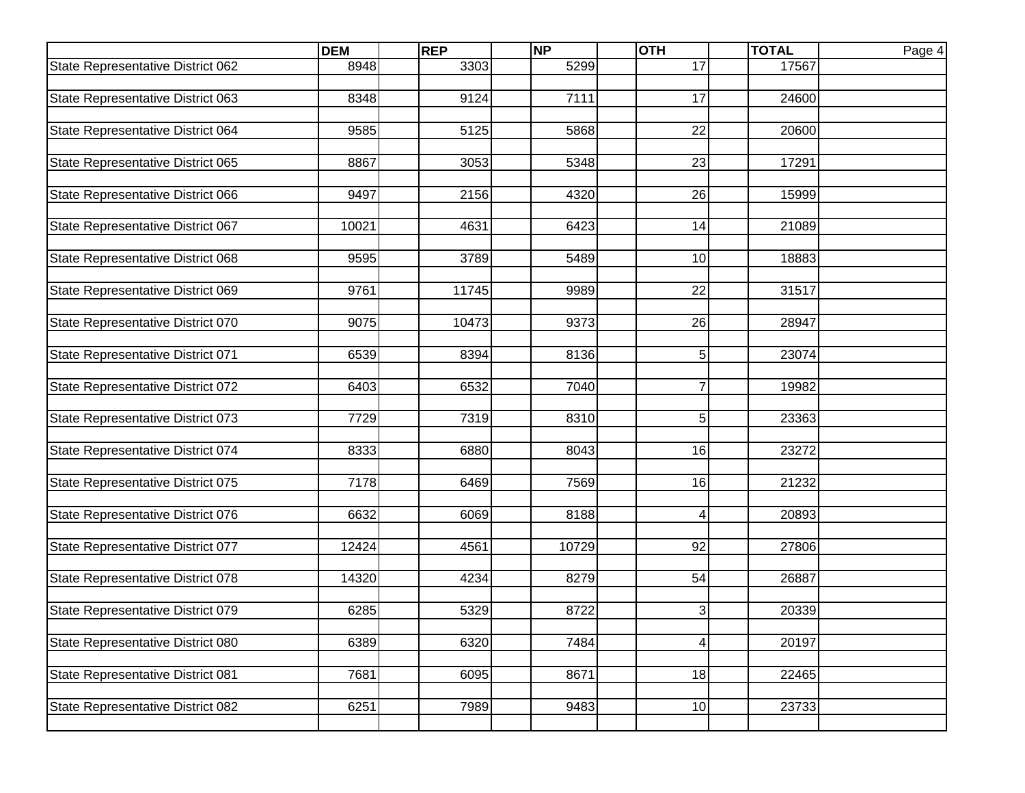|                                   | <b>DEM</b> | <b>REP</b> | <b>NP</b> | <b>OTH</b>     | <b>TOTAL</b> | Page 4 |
|-----------------------------------|------------|------------|-----------|----------------|--------------|--------|
| State Representative District 062 | 8948       | 3303       | 5299      | 17             | 17567        |        |
|                                   |            |            |           |                |              |        |
| State Representative District 063 | 8348       | 9124       | 7111      | 17             | 24600        |        |
| State Representative District 064 | 9585       | 5125       | 5868      | 22             | 20600        |        |
|                                   |            |            |           |                |              |        |
| State Representative District 065 | 8867       | 3053       | 5348      | 23             | 17291        |        |
|                                   |            |            |           |                |              |        |
| State Representative District 066 | 9497       | 2156       | 4320      | 26             | 15999        |        |
|                                   |            |            |           |                |              |        |
| State Representative District 067 | 10021      | 4631       | 6423      | 14             | 21089        |        |
| State Representative District 068 | 9595       | 3789       | 5489      | 10             | 18883        |        |
|                                   |            |            |           |                |              |        |
| State Representative District 069 | 9761       | 11745      | 9989      | 22             | 31517        |        |
|                                   |            |            |           |                |              |        |
| State Representative District 070 | 9075       | 10473      | 9373      | 26             | 28947        |        |
|                                   |            |            |           |                |              |        |
| State Representative District 071 | 6539       | 8394       | 8136      | $\sqrt{5}$     | 23074        |        |
|                                   |            |            |           |                |              |        |
| State Representative District 072 | 6403       | 6532       | 7040      | $\overline{7}$ | 19982        |        |
| State Representative District 073 | 7729       | 7319       | 8310      | $\sqrt{5}$     | 23363        |        |
|                                   |            |            |           |                |              |        |
| State Representative District 074 | 8333       | 6880       | 8043      | 16             | 23272        |        |
|                                   |            |            |           |                |              |        |
| State Representative District 075 | 7178       | 6469       | 7569      | 16             | 21232        |        |
|                                   |            |            |           |                |              |        |
| State Representative District 076 | 6632       | 6069       | 8188      | 4              | 20893        |        |
| State Representative District 077 | 12424      | 4561       | 10729     | 92             | 27806        |        |
|                                   |            |            |           |                |              |        |
| State Representative District 078 | 14320      | 4234       | 8279      | 54             | 26887        |        |
|                                   |            |            |           |                |              |        |
| State Representative District 079 | 6285       | 5329       | 8722      | $\sqrt{3}$     | 20339        |        |
|                                   |            |            |           |                |              |        |
| State Representative District 080 | 6389       | 6320       | 7484      | 4              | 20197        |        |
| State Representative District 081 | 7681       | 6095       | 8671      | 18             | 22465        |        |
|                                   |            |            |           |                |              |        |
| State Representative District 082 | 6251       | 7989       | 9483      | 10             | 23733        |        |
|                                   |            |            |           |                |              |        |